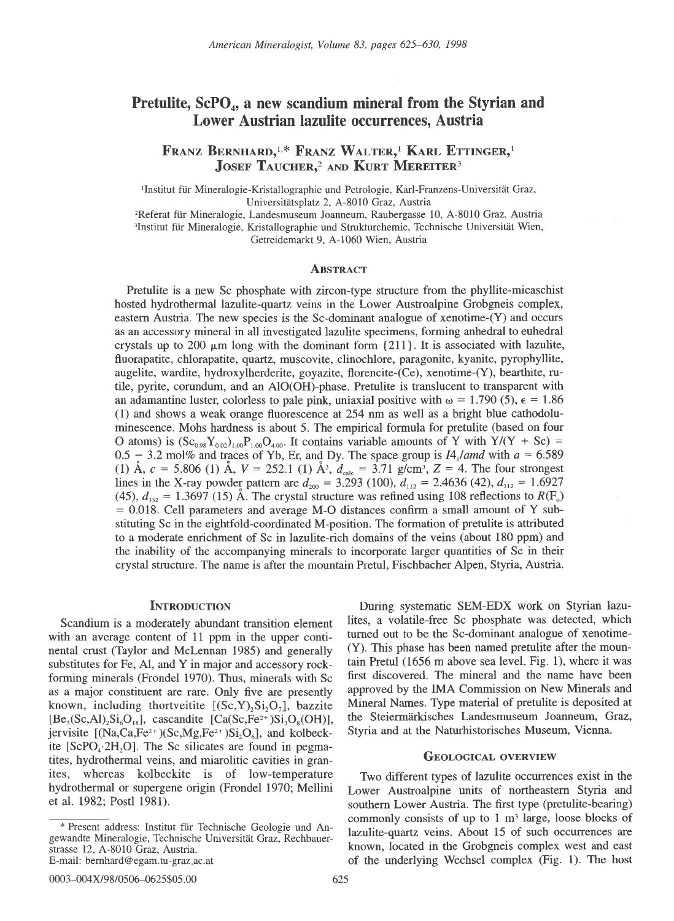# Pretulite,  $\text{ScPO}_{4}$ , a new scandium mineral from the Styrian and Lower Austrian lazulite occurrences, Austria

FRANZ BERNHARD,<sup>1,\*</sup> FRANZ WALTER,<sup>1</sup> KARL ETTINGER,<sup>1</sup> JOSEF TAUCHER,<sup>2</sup> AND KURT MEREITER<sup>3</sup>

'Institut für Mineralogie-Kristallographie und Petrologie, Karl-Franzens-Universität Graz, Universitätsplatz 2, A-8010 Graz, Austria

<sup>2</sup>Referat für Mineralogie, Landesmuseum Joanneum, Raubergasse 10, A-8010 Graz, Austria <sup>3</sup>Institut für Mineralogie, Kristallographie und Strukturchemie, Technische Universität Wien, Getreidemarkt 9, 4-1060 Wien, Austria

### **ABSTRACT**

Pretulite is a new Sc phosphate with zircon-type structure from the phyllite-micaschist hosted hydrothermal lazulite-quartz veins in the Lower Austroalpine Grobgneis complex, eastern Austria. The new species is the Sc-dominant analogue of xenotime-(Y) and occurs as an accessory mineral in all investigated lazulite specimens, forming anhedral to euhedral crystals up to 200  $\mu$ m long with the dominant form {211}. It is associated with lazulite, fluorapatite, chlorapatite, quartz, muscovite, clinochlore, paragonite, kyanite, pyrophyllite, augelite, wardite, hydroxylherdeite, goyazite, florencite-(Ce), xenotime-(Y), bearthite, rutile, pyrite, corundum, and an AIO(OH)-phase. Pretulite is translucent to transparent with an adamantine luster, colorless to pale pink, uniaxial positive with  $\omega = 1.790$  (5),  $\epsilon = 1.86$ (1) and shows a weak orange fluorescence at 254 nm as well as a bright blue cathodoluminescence. Mohs hardness is about 5. The empirical formula for pretulite (based on four O atoms) is  $(Sc_{0.98}Y_{0.02})_{1.00}P_{1.00}O_{4.00}$ . It contains variable amounts of Y with Y/(Y + Sc) = 0.5 - 3.2 mol% and traces of Yb, Er, and Dy. The space group is  $I4_1$ /amd with  $a = 6.589$ (1) Å,  $c = 5.806$  (1) Å,  $V = 252.1$  (1) Å<sup>3</sup>,  $d_{calc} = 3.71$  g/cm<sup>3</sup>,  $Z = 4$ . The four strongest lines in the X-ray powder pattern are  $d_{200} = 3.293$  (100),  $d_{112} = 2.4636$  (42),  $d_{312} = 1.6927$ (45),  $d_{332} = 1.3697$  (15) Å. The crystal structure was refined using 108 reflections to  $R(\text{F}_o)$  $= 0.018$ . Cell parameters and average M-O distances confirm a small amount of Y substituting Sc in the eightfold-coordinated M-position. The formation of pretulite is attributed to a moderate enrichment of Sc in lazulite-rich domains of the veins (about 180 ppm) and the inability of the accompanying minerals to incorporate larger quantities of Sc in their crystal structure. The name is after the mountain Pretul, Fischbacher Alpen, Styria, Austria.

### **INTRODUCTION**

Scandium is a moderately abundant transition element with an average content of 11 ppm in the upper continental crust (Taylor and Mclennan 1985) and generally substitutes for Fe, Al, and Y in major and accessory rockforming minerals (Frondel 1970). Thus, minerals with Sc as a major constituent are rare. Only five are presently known, including thortveitite  $[(Sc, Y), Si, O<sub>1</sub>]$ , bazzite  $[Be_3(Sc, Al)_2Si_6O_{18}]$ , cascandite  $[Ca(Sc, Fe^{2+})Si_3O_8(OH)]$ , jervisite  $[(Na, Ca, Fe^{2+})(Sc, Mg, Fe^{2+})Si, O_6]$ , and kolbeckite  $[ScPO<sub>4</sub>·2H<sub>2</sub>O]$ . The Sc silicates are found in pegmatites, hydrothermal veins, and miarolitic cavities in granites, whereas kolbeckite is of low-temperature hydrothermal or supergene origin (Frondel 1970; Mellini et al. 1982: Postl 1981).

During systematic SEM-EDX work on Styrian lazulites, a volatile-free Sc phosphate was detected, which turned out to be the Sc-dominant analogue of xenotime- (Y). This phase has been named pretulite after the mountain Pretul (1656 m above sea level, Fig. 1), where it was first discovered. The mineral and the name have been approved by the IMA Commission on New Minerals and Mineral Names. Type material of pretulite is deposited at the Steiermärkisches Landesmuseum Joanneum, Graz, Styria and at the Naturhistorisches Museum, Vienna.

# GEOLOGICAL OVERVIEW

Two different types of lazulite occurrences exist in the Lower Austroalpine units of northeastern Styria and southern Lower Austria. The first type (pretulite-bearing) commonly consists of up to  $1 \text{ m}^3$  large, loose blocks of lazulite-quartz veins. About 15 of such occurrences are known, located in the Grobgneis complex west and east of the underlying Wechsel complex (Fig. 1). The host

<sup>\*</sup> Present address: Institut fiir Technische Geologie und Angewandte Mineralogie, Technische Universität Graz, Rechbauerstrasse 12. A-8010 Graz. Austria. E-mail: bernhard@egam.tu-graz ac.at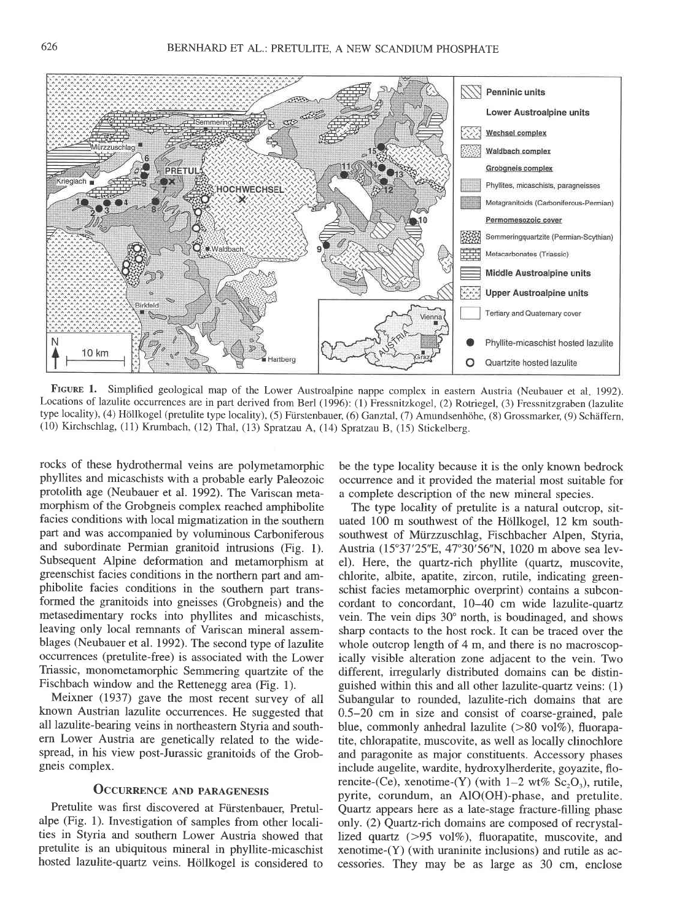

FIGURE 1. Simplified geological map of the Lower Austroalpine nappe complex in eastern Austria (Neubauer et al. 1992). Locations of lazulite occurrences are in part derived from Berl (1996): (1) Fressnitzkogel, (2) Rotriegel, (3) Fressnitzgraben (lazulite type locality), (4) Höllkogel (pretulite type locality), (5) Fürstenbauer, (6) Ganztal, (7) Amundsenhöhe, (8) Grossmarker, (9) Schäffern, (10) Kirchschlag, (11) Krumbach, (12) Thal, (13) Spratzau A, (14) Sprarzau B, (15) Stickelberg.

rocks of these hydrothermal veins are polymetamorphic phyllites and micaschists with a probable early Paleozoic protolith age (Neubauer et al. 1992). The Variscan metamorphism of the Grobgneis complex reached amphibolite facies conditions with local migmatization in the southern part and was accompanied by voluminous Carboniferous and subordinate Permian granitoid intrusions (Fig. l). Subsequent Alpine deformation and metamorphism at greenschist facies conditions in the northern part and amphibolite facies conditions in the southern part transformed the granitoids into gneisses (Grobgneis) and the metasedimentary rocks into phyllites and micaschists, leaving only local remnants of Variscan mineral assemblages (Neubauer et al. 1992). The second type of lazulite occurrences (pretulite-free) is associated with the Lower Triassic, monometamorphic Semmering quartzite of the Fischbach window and the Rettenegg area (Fig. 1).

Meixner (1937) gave the most recent survey of all known Austrian lazulite occurrences. He suggested that all lazulite-bearing veins in northeastern Styria and southern Lower Austria are genetically related to the widespread, in his view post-Jurassic granitoids of the Grobgneis complex.

# OCCURRENCE AND PARAGENESIS

Pretulite was first discovered at Fürstenbauer, Pretulalpe (Fig. 1). Investigation of samples from other localities in Styria and southern Lower Austria showed that pretulite is an ubiquitous mineral in phyllite-micaschist hosted lazulite-quartz veins. Höllkogel is considered to be the type locality because it is the only known bedrock occurrence and it provided the material most suitable for a complete description of the new mineral species.

The type locality of pretulite is a natural outcrop, situated 100 m southwest of the Höllkogel, 12 km southsouthwest of Miirzzuschlag, Fischbacher Alpen, Styria, Austria (15°37'25"E, 47°30'56"N, 1020 m above sea level). Here, the quartz-rich phyllite (quartz, muscovite, chlorite, albite, apatite, zircon, rutile, indicating greenschist facies metamorphic overprint) contains a subconcordant to concordant, 10-40 cm wide lazulite-quartz vein. The vein dips 30" north, is boudinaged, and shows sharp contacts to the host rock. It can be traced over the whole outcrop length of 4 m, and there is no macroscopically visible alteration zone adjacent to the vein. Two different, irregularly distributed domains can be distinguished within this and all other lazulite-quartz veins: (1) Subangular to rounded, lazulite-rich domains that are 0.5-20 cm in size and consist of coarse-grained, pale blue, commonly anhedral lazulite  $(>80 \text{ vol}\%)$ , fluorapatite, chlorapatite, muscovite, as well as locally clinochlore and paragonite as major constituents. Accessory phases include augelite, wardite, hydroxylherderite, goyazite, florencite-(Ce), xenotime-(Y) (with  $1-2$  wt%  $Sc_2O_3$ ), rutile, pyrite, corundum, an AIO(OH)-phase, and pretulite. Quartz appears here as a late-stage fracture-filling phase only. (2) Quartz-rich domains are composed of recrystallized quartz  $(>95 \text{ vol}\%)$ , fluorapatite, muscovite, and xenotime-(Y) (with uraninite inclusions) and rutile as accessories. They may be as large as 30 cm, enclose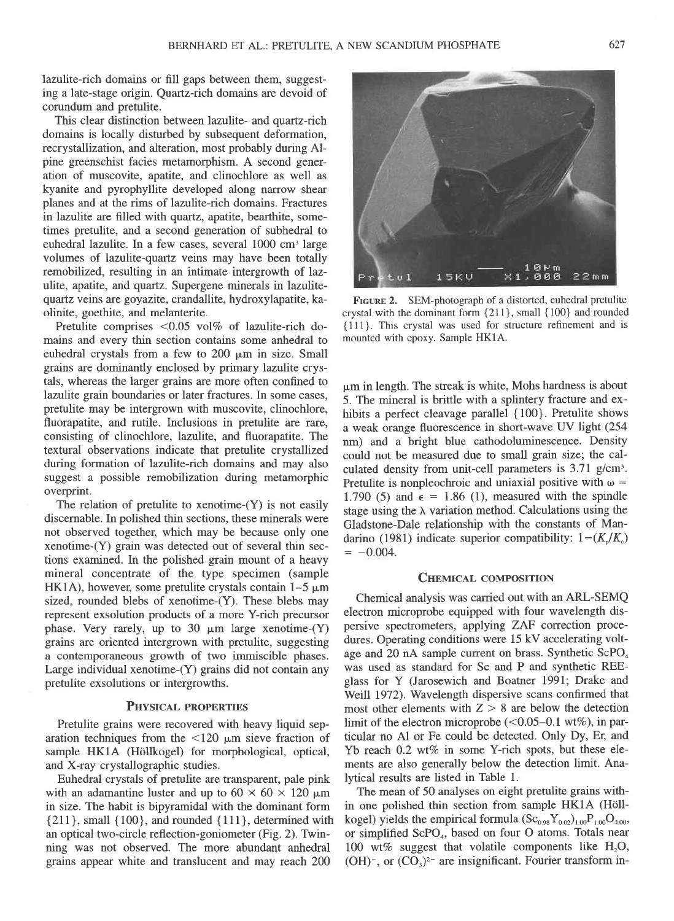lazulite-rich domains or fill gaps between them, suggesting a late-stage origin. Quartz-rich domains are devoid of corundum and pretulite.

This clear distinction between lazulite- and quartz-rich domains is locally disturbed by subsequent deformation, recrystallization, and alteration, most probably during Alpine greenschist facies metamorphism. A second generation of muscovite, apatite, and clinochlore as well as kyanite and pyrophyllite developed along narrow shear planes and at the rims of lazulite-rich domains. Fractures in lazulite are filled with quartz, apatite, bearthite, sometimes pretulite, and a second generation of subhedral to euhedral lazulite. In a few cases, several 1000 cm<sup>3</sup> large volumes of lazulite-quartz veins may have been totally remobilized, resulting in an intimate intergrowth of lazulite, apatite, and quartz. Supergene minerals in lazulitequartz veins are goyazite, crandallite, hydroxylapatite, kaolinite, goethite, and melanterite.

Pretulite comprises  $< 0.05$  vol% of lazulite-rich domains and every thin section contains some anhedral to euhedral crystals from a few to  $200 \mu m$  in size. Small grains are dominantly enclosed by primary lazulite crystals, whereas the larger grains are more often confined to lazulite grain boundaries or later fractures. In some cases, pretulite may be intergrown with muscovite, clinochlore, fluorapatite, and rutile. Inclusions in pretulite are rare, consisting of clinochlore, lazulite, and fluorapatite. The textural observations indicate that pretulite crystallized during formation of lazulite-rich domains and may also suggest a possible remobilization during metamorphic overprint.

The relation of pretulite to xenotime- $(Y)$  is not easily discernable. In polished thin sections, these minerals were not observed together, which may be because only one xenotime-(Y) grain was detected out of several thin sections examined. In the polished grain mount of a heavy mineral concentrate of the type specimen (sample HK1A), however, some pretulite crystals contain  $1-5 \mu m$ sized, rounded blebs of xenotime-(Y). These blebs may represent exsolution products of a more Y-rich precursor phase. Very rarely, up to 30  $\mu$ m large xenotime-(Y) grains are oriented intergrown with pretulite, suggesting a contemporaneous growth of two immiscible phases. Large individual xenotime-(Y) grains did not contain any pretulite exsolutions or intergrowths.

### PHYSICAL PROPERTIES

Pretulite grains were recovered with heavy liquid separation techniques from the  $\langle 120 \mu m \rangle$  sieve fraction of sample HK1A (Höllkogel) for morphological, optical, and X-ray crystallographic studies.

Euhedral crystals of pretulite are transparent, pale pink with an adamantine luster and up to  $60 \times 60 \times 120 \mu m$ in size. The habit is bipyramidal with the dominant form {2ll}, small {100}, and rounded {111}, determined with an optical two-circle reflection-goniometer (Fig. 2). Twinning was not observed. The more abundant anhedral grains appear white and translucent and may reach 200



FIGURE 2. SEM-photograph of a distorted, euhedral pretulite crystal with the dominant form {211}, small { 100} and rounded {111}. This crystal was used for structure refinement and is mounted with epoxy. Sample HKIA.

pm in length. The streak is white, Mohs hardness is about 5. The mineral is brittle with a splintery fracture and exhibits a perfect cleavage parallel {100}. Pretulite shows a weak orange fluorescence in short-wave UV light (254 nm) and a bright blue cathodoluminescence. Density could not be measured due to small grain size; the calculated density from unit-cell parameters is 3.71 g/cm'. Pretulite is nonpleochroic and uniaxial positive with  $\omega$  = 1.790 (5) and  $\epsilon = 1.86$  (1), measured with the spindle stage using the  $\lambda$  variation method. Calculations using the Gladstone-Dale relationship with the constants of Mandarino (1981) indicate superior compatibility:  $1-(K_p/K_c)$  $= -0.004$ .

#### CHEMICAL COMPOSITION

Chemical analysis was carried out with an ARL-SEMQ electron microprobe equipped with four wavelength dispersive spectrometers, applying ZAF correction procedures. Operating conditions were 15 kV accelerating voltage and 20 nA sample current on brass. Synthetic ScPO<sub>4</sub> was used as standard for Sc and P and synthetic REEglass for Y (Jarosewich and Boatner I99l; Drake and Welll 1972). Wavelength dispersive scans confirmed that most other elements with  $Z > 8$  are below the detection limit of the electron microprobe  $(<0.05-0.1$  wt%), in particular no Al or Fe could be detected. Only Dy, Er, and Yb reach  $0.2$  wt% in some Y-rich spots, but these elements are also generally below the detection limit. Analytical results are listed in Table 1.

The mean of 50 analyses on eight pretulite grains within one polished thin section from sample HK1A (Höllkogel) yields the empirical formula  $(Sc_{0.98}Y_{0.02})_{1.00}P_{1.00}O_{4.00}$ , or simplified ScPO<sub>4</sub>, based on four O atoms. Totals near 100 wt% suggest that volatile components like  $H_2O$ ,  $(OH)^{-}$ , or  $(CO<sub>3</sub>)<sup>2</sup>$  are insignificant. Fourier transform in-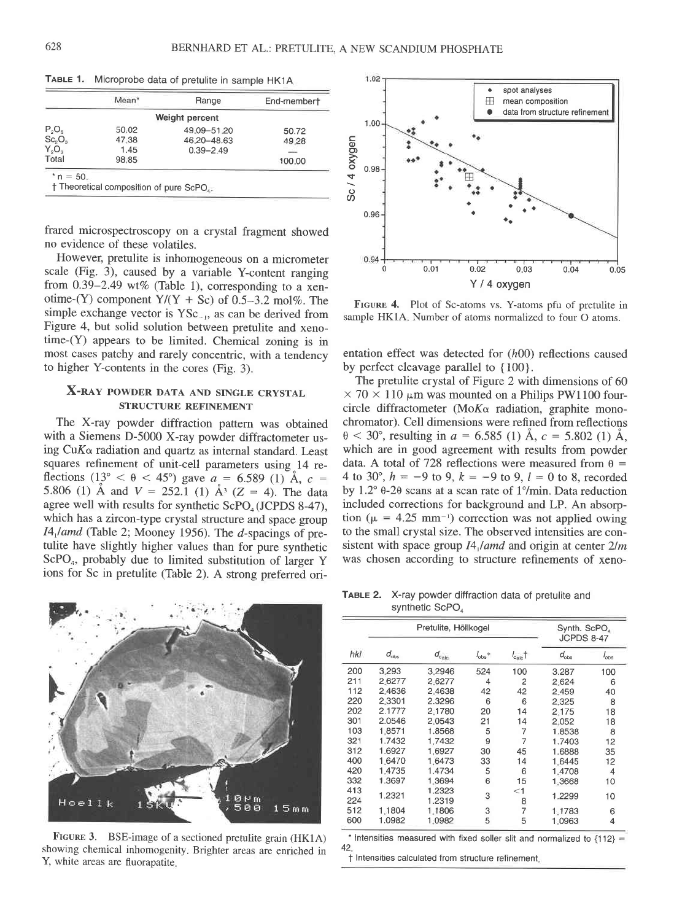|                                | Mean* | Range          | End-membert |
|--------------------------------|-------|----------------|-------------|
|                                |       | Weight percent |             |
| $P_2O_5$                       | 50.02 | 49.09-51.20    | 50.72       |
| Sc <sub>2</sub> O <sub>3</sub> | 47.38 | 46.20-48.63    | 49.28       |
| $Y_2O_3$                       | 1.45  | $0.39 - 2.49$  |             |
| Total                          | 98.85 |                | 100.00      |

TABLE 1. Microprobe data of pretulite in sample HK1A

frared microspectroscopy on a crystal fragment showed no evidence of these volatiles.

However, pretulite is inhomogeneous on a micrometer scale (Fig. 3), caused by a variable Y-content ranging from  $0.39-2.49$  wt% (Table 1), corresponding to a xenotime-(Y) component  $Y/(Y + Sc)$  of 0.5–3.2 mol%. The simple exchange vector is YSc\_,, as can be derived from Figure 4, but solid solution between pretulite and xenotime-(Y) appears to be limited. Chemical zoning is in most cases patchy and rarely concentric, with a tendency to higher Y-contents in the cores (Fig. 3).

# X-RAY POWDER DATA AND SINGLE CRYSTAL STRUCTURE REFINEMENT

The X-ray powder diffraction pattern was obtained with a Siemens D-5000 X-ray powder diffractometer using  $CuK\alpha$  radiation and quartz as internal standard. Least squares refinement of unit-cell parameters using^14 reflections (13° <  $\theta$  < 45°) gave  $a = 6.589$  (1) A, c = 5.806 (1) Å and  $V = 252.1$  (1) Å<sup>3</sup> (Z = 4). The data agree well with results for synthetic ScPO<sub>4</sub> (JCPDS 8-47), which has a zircon-type crystal structure and space group  $I4_1$ /amd (Table 2; Mooney 1956). The d-spacings of pretulite have slightly higher values than for pure synthetic ScPO<sub>4</sub>, probably due to limited substitution of larger Y ions for Sc in pretulite (Table 2). A strong preferred ori-



FIGURE 3. BSE-image of a sectioned pretulite grain (HK1A) showing chemical inhomogenity. Brighter areas are enriched in Y, white areas are fluorapatite.



FIGURE 4. Plot of Sc-atoms vs. Y-atoms pfu of pretulite in sample HK1A. Number of atoms normalized to four O atoms.

entation effect was detected for  $(h00)$  reflections caused by perfect cleavage parallel to  ${100}$ .

The pretulite crystal of Figure 2 with dimensions of 60  $\times$  70  $\times$  110  $\mu$ m was mounted on a Philips PW1100 fourcircle diffractometer (Mo $K\alpha$  radiation, graphite monochromator). Cell dimensions were refined from reflections  $\theta$  < 30°, resulting in a = 6.585 (1) Å, c = 5.802 (1) Å. which are in good agreement with results from powder data. A total of 728 reflections were measured from  $\theta$  = 4 to 30°,  $h = -9$  to 9,  $k = -9$  to 9,  $l = 0$  to 8, recorded by 1.2 $\degree$  0-20 scans at a scan rate of 1 $\degree$ /min. Data reduction included corrections for background and LP. An absorption ( $\mu$  = 4.25 mm<sup>-1</sup>) correction was not applied owing to the small crystal size. The observed intensities are consistent with space group  $I4$ ,/amd and origin at center  $2/m$ was chosen according to structure refinements of xeno-

TABLE 2. X-ray powder diffraction data of pretulite and synthetic ScPO<sub>4</sub>

|            |               | Pretulite, Höllkogel | Synth. ScPO<br><b>JCPDS 8-47</b> |                     |               |                              |
|------------|---------------|----------------------|----------------------------------|---------------------|---------------|------------------------------|
| hki        | $d_{\rm obs}$ | $d_{\rm calc}$       | $l_{\text{obs}}*$                | $l_{\text{calc}}$ † | $d_{\rm obs}$ | $\frac{1}{\omega_{\rm obs}}$ |
| 200        | 3.293         | 3.2946               | 524                              | 100                 | 3.287         | 100                          |
| 211        | 2.6277        | 2.6277               | 4                                | 2                   | 2.624         | 6                            |
| 112        | 2.4636        | 2.4638               | 42                               | 42                  | 2.459         | 40                           |
| 220        | 2.3301        | 2.3296               | 6                                | 6                   | 2.325         | 8                            |
| 202        | 2.1777        | 2.1780               | 20                               | 14                  | 2.175         | 18                           |
| 301        | 2.0546        | 2.0543               | 21                               | 14                  | 2.052         | 18                           |
| 103        | 1.8571        | 1.8568               | 5                                | 7                   | 1.8538        | 8                            |
| 321        | 1.7432        | 1.7432               | 9                                | 7                   | 1.7403        | 12                           |
| 312        | 1.6927        | 1.6927               | 30                               | 45                  | 1.6888        | 35                           |
| 400        | 1.6470        | 1.6473               | 33                               | 14                  | 1.6445        | 12                           |
| 420        | 1.4735        | 1.4734               | 5                                | 6                   | 1.4708        | $\overline{4}$               |
| 332        | 1.3697        | 1.3694               | 6                                | 15                  | 1,3668        | 10                           |
| 413<br>224 | 1.2321        | 1.2323<br>1.2319     | 3                                | $<$ 1<br>8          | 1.2299        | 10                           |
| 512        | 1.1804        | 1.1806               | 3                                | 7                   | 1.1783        | 6                            |
| 600        | 1.0982        | 1.0982               | 5                                | 5                   | 1.0963        | 4                            |

\* Intensities measured with fixed soller slit and normalized to  ${112}$  = 42

t Intensities calculated from structure refinement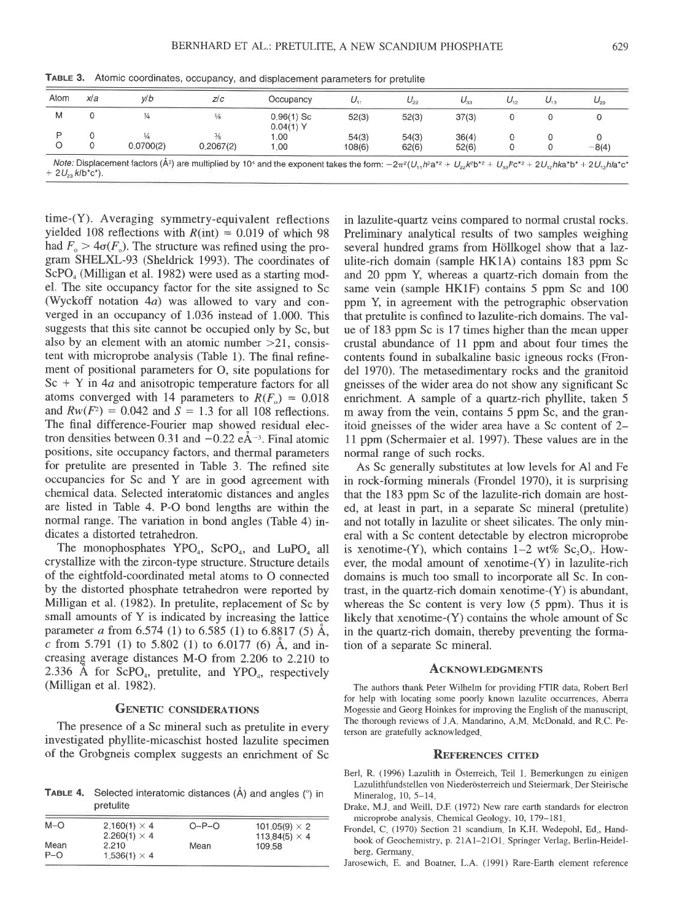| Atom | xl a | v/b       | Z/C       | Occupancy                | υ.     | $\cup_{22}$ | $U_{33}$ | $U_{12}$ | مەك | $\omega_{23}$ |
|------|------|-----------|-----------|--------------------------|--------|-------------|----------|----------|-----|---------------|
| М    |      |           | ₩         | $0.96(1)$ Sc<br>0.04(1)Y | 52(3)  | 52(3)       | 37(3)    |          |     |               |
|      |      |           |           | 1.00                     | 54(3)  | 54(3)       | 36(4)    |          |     |               |
|      |      | 0.0700(2) | 0.2067(2) | 0.00                     | 108(6) | 62(6)       | 52(6)    |          |     | $-8(4)$       |

TABLE 3. Atomic coordinates, occupancy, and displacement parameters for pretulite

 $U_{22}K$ -1 +  $2U_{23}$   $k/b^*c^*$ ).

time-(Y). Averaging symmetry-equivalent reflections yielded 108 reflections with  $R(int) = 0.019$  of which 98 had  $F_{0} > 4\sigma(F_{0})$ . The structure was refined using the program SHELXL-93 (Sheldrick 1993). The coordinates of  $ScPO<sub>4</sub>$  (Milligan et al. 1982) were used as a starting model. The site occupancy factor for the site assigned to Sc (Wyckoff notation 4a) was allowed to vary and converged in an occupancy of 1.036 instead of 1.000. This suggests that this site cannot be occupied only by Sc, but also by an element with an atomic number  $>21$ , consistent with microprobe analysis (Table 1). The final refinement of positional parameters for O, site populations for  $Sc + Y$  in 4*a* and anisotropic temperature factors for all atoms converged with 14 parameters to  $R(F_0) = 0.018$ and  $Rw(F^2) = 0.042$  and  $S = 1.3$  for all 108 reflections. The final difference-Fourier map showed residual electron densities between 0.31 and  $-0.22$  eÅ<sup>-3</sup>. Final atomic positions, site occupancy factors, and thermal parameters for pretulite are presented in Table 3. The refined site occupancies for Sc and Y are in good agreement with chemical data. Selected interatomic distances and angles are listed in Table 4. P-O bond lengths are within the normal range. The variation in bond angles (Table 4) indicates a distorted tetrahedron.

The monophosphates YPO<sub>4</sub>, ScPO<sub>4</sub>, and LuPO<sub>4</sub> all crystallize with the zircon-type structure. Structure details of the eightfold-coordinated metal atoms to O connected by the distorted phosphate tetrahedron were reported by Milligan et al. (1982). In pretulite, replacement of Sc by small amounts of Y is indicated by increasing the lattice parameter a from 6.574 (1) to 6.585 (1) to 6.8817 (5) Å, c from 5.791 (1) to 5.802 (1) to 6.0177 (6) Å, and increasing average distances M-O from 2.206 to 2.210 to 2.336 Å for ScPO<sub>4</sub>, pretulite, and YPO<sub>4</sub>, respectively (Milligan et al. 1982).

## **GENETIC CONSIDERATIONS**

The presence of a Sc mineral such as pretulite in every investigated phyllite-micaschist hosted lazulite specimen of the Grobgneis complex suggests an enrichment of Sc

TABLE 4. Selected interatomic distances (A) and angles (°) in pretulite

|                                                                            | 101.05(9) $\times$ 2 |
|----------------------------------------------------------------------------|----------------------|
|                                                                            | 113.84(5) $\times$ 4 |
| Mean                                                                       | 109.58               |
| 2.160(1) $\times$ 4<br>$2.260(1) \times 4$<br>2.210<br>$1.536(1) \times 4$ | $O-P-O$              |

in lazulite-quartz veins compared to normal crustal rocks. Preliminary analytical results of two samples weighing several hundred grams from Höllkogel show that a lazulite-rich domain (sample HK1A) contains 183 ppm Sc and 20 ppm Y, whereas a quartz-rich domain from the same vein (sample HK1F) contains 5 ppm Sc and 100 ppm Y, in agreement with the petrographic observation that pretulite is confined to lazulite-rich domains. The value of 183 ppm Sc is 17 times higher than the mean upper crustal abundance of 11 ppm and about four times the contents found in subalkaline basic igneous rocks (Frondel 1970). The metasedimentary rocks and the granitoid gneisses of the wider area do not show any significant Sc enrichment. A sample of a quartz-rich phyllite, taken 5 m away from the vein, contains 5 ppm Sc, and the granitoid gneisses of the wider area have a Sc content of 2-11 ppm (Schermaier et al. 1997). These values are in the normal range of such rocks.

As Sc generally substitutes at low levels for Al and Fe in rock-forming minerals (Frondel 1970), it is surprising that the 183 ppm Sc of the lazulite-rich domain are hosted, at least in part, in a separate Sc mineral (pretulite) and not totally in lazulite or sheet silicates. The only mineral with a Sc content detectable by electron microprobe is xenotime-(Y), which contains  $1-2$  wt% Sc<sub>2</sub>O<sub>3</sub>. However, the modal amount of xenotime-(Y) in lazulite-rich domains is much too small to incorporate all Sc. In contrast, in the quartz-rich domain xenotime-(Y) is abundant, whereas the Sc content is very low  $(5 ppm)$ . Thus it is likely that xenotime-(Y) contains the whole amount of Sc in the quartz-rich domain, thereby preventing the formation of a separate Sc mineral.

#### **ACKNOWLEDGMENTS**

The authors thank Peter Wilhelm for providing FTIR data, Robert Berl for help with locating some poorly known lazulite occurrences, Aberra Mogessie and Georg Hoinkes for improving the English of the manuscript, The thorough reviews of J.A. Mandarino, A.M. McDonald, and R.C. Peterson are gratefully acknowledged.

#### **REFERENCES CITED**

- Berl, R. (1996) Lazulith in Österreich, Teil 1. Bemerkungen zu einigen Lazulithfundstellen von Niederösterreich und Steiermark. Der Steirische Mineralog, 10, 5-14.
- Drake, M.J. and Weill, D.F. (1972) New rare earth standards for electron microprobe analysis, Chemical Geology, 10, 179-181.
- Frondel, C. (1970) Section 21 scandium. In K.H. Wedepohl, Ed., Handbook of Geochemistry, p. 21A1-21O1. Springer Verlag, Berlin-Heidelberg. Germany.
- Jarosewich, E. and Boatner, L.A. (1991) Rare-Earth element reference